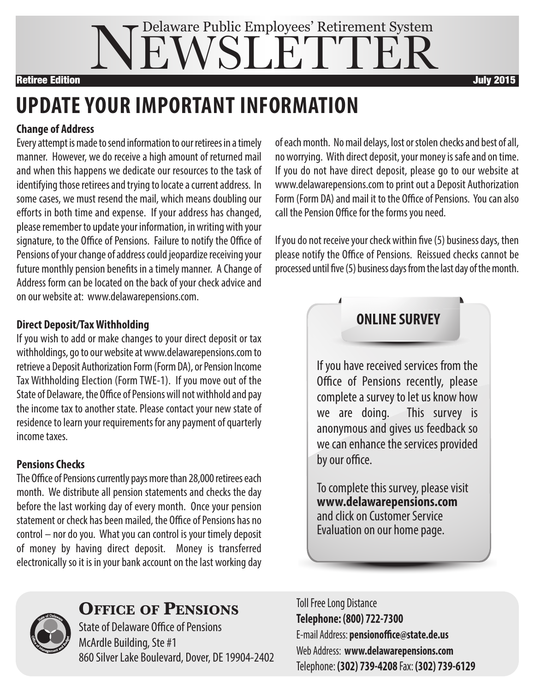# EWSLETTE Delaware Public Employees' Retirement System **Retiree Edition July 2015**

# **UPDATE YOUR IMPORTANT INFORMATION**

#### **Change of Address**

Every attempt is made to send information to our retirees in a timely manner. However, we do receive a high amount of returned mail and when this happens we dedicate our resources to the task of identifying those retirees and trying to locate a current address. In some cases, we must resend the mail, which means doubling our efforts in both time and expense. If your address has changed, please remember to update your information, in writing with your signature, to the Office of Pensions. Failure to notify the Office of Pensions of your change of address could jeopardize receiving your future monthly pension benefits in a timely manner. A Change of Address form can be located on the back of your check advice and on our websiteat: www.delawarepensions.com.

#### **Direct Deposit/TaxWithholding**

If you wish to add or make changes to your direct deposit or tax withholdings, go to our website at www.delawarepensions.com to retrieve a Deposit Authorization Form (Form DA), or Pension Income Tax Withholding Election (Form TWE-1). If you move out of the State of Delaware, the Office of Pensions will not withhold and pay the income tax to another state. Please contact your new state of residence to learn your requirements for any payment of quarterly income taxes

#### **Pensions Checks**

The Office of Pensions currently pays more than 28,000 retirees each month. We distribute all pension statements and checks the day before the last working day of every month. Once your pension statement or check has been mailed, the Office of Pensions has no control – nor do you. What you can control is your timely deposit of money by having direct deposit. Money is transferred electronically so it is in your bank account on the last working day

of each month. No mail delays, lost or stolen checks and best of all, no worrying. With direct deposit, your money is safe and on time. If you do not have direct deposit, please go to our website at www.delawarepensions.com to print out a Deposit Authorization Form (Form DA) and mail it to the Office of Pensions. You can also call the Pension Office for the forms you need.

If you do not receive your check within five (5) business days, then please notify the Office of Pensions. Reissued checks cannot be processed until five (5) business days from the last day of the month.

### **ONLINE SURVEY**

If you have received services from the Office of Pensions recently, please complete a survey to let us know how we are doing. This survey is anonymous and gives us feedback so we can enhance the services provided by our office.

To complete this survey, please visit **www.delawarepensions.com** and click on Customer Service Evaluation on our home page.



### **Office Of PensiOns**

**State of Delaware Office of Pensions** McArdle Building, Ste #1 860 Silver Lake Boulevard, Dover, DE 19904-2402 **Toll Free Long Distance Telephone: (800) 722-7300** E-mail Address: **pensionoffice@state.de.us** Web Address: **www.delawarepensions.com** Telephone: **(302) 739-4208** Fax: **(302) 739-6129**